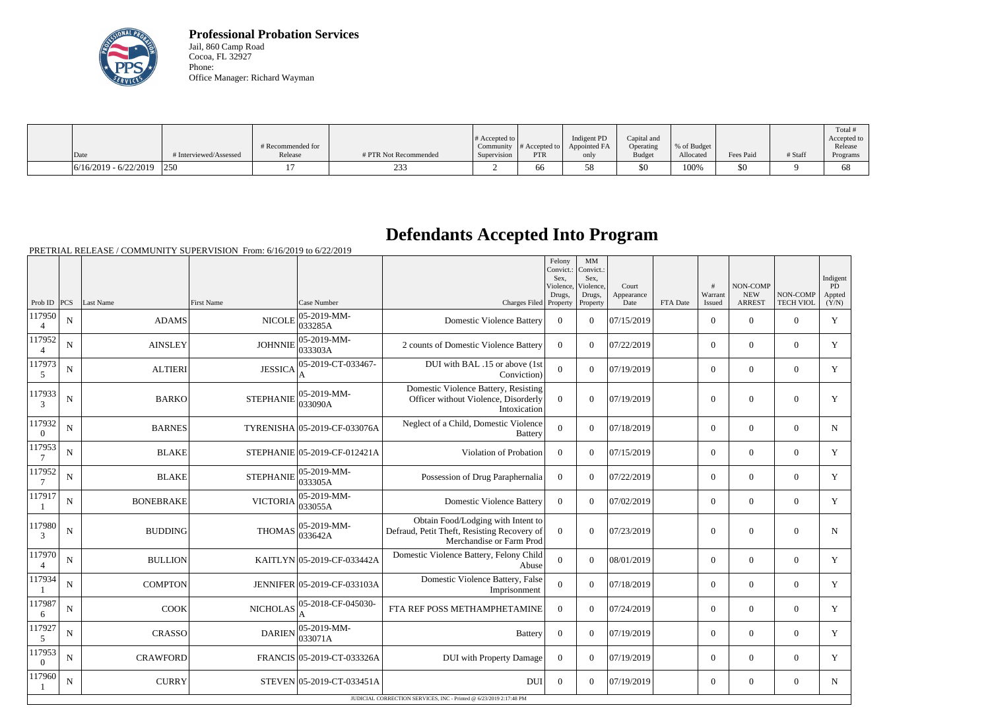

**Professional Probation Services** Jail, 860 Camp Road Cocoa, FL 32927 Phone: Office Manager: Richard Wayman

|                         |                        |                   |                       |                       |               |              |               |             |           |         | Total #     |
|-------------------------|------------------------|-------------------|-----------------------|-----------------------|---------------|--------------|---------------|-------------|-----------|---------|-------------|
|                         |                        |                   |                       | # Accepted to $\vert$ |               | Indigent PD  | Capital and   |             |           |         | Accepted to |
|                         |                        | # Recommended for |                       | Community             | # Accepted to | Appointed FA | Operating     | % of Budget |           |         | Release     |
| Date                    | # Interviewed/Assessed | Release           | # PTR Not Recommended | Supervision           | <b>PTR</b>    | only         | <b>Budget</b> | Allocated   | Fees Paid | # Staff | Programs    |
| $6/16/2019 - 6/22/2019$ | $ 250\rangle$          |                   | $\sim$<br>25:         |                       | OO.           | ה -<br>ັບ    | \$0           | 100%        | \$0       |         |             |

## **Defendants Accepted Into Program**

|                          |             |                  |                                              |                             |                                                                                                               | Felony<br>Convict.:<br>Sex.<br>Violence. | MM<br>Convict.:<br>Sex.<br>Violence, | Court              |          | #                 | NON-COMP                    |                              | Indigent<br>PD  |
|--------------------------|-------------|------------------|----------------------------------------------|-----------------------------|---------------------------------------------------------------------------------------------------------------|------------------------------------------|--------------------------------------|--------------------|----------|-------------------|-----------------------------|------------------------------|-----------------|
| Prob ID                  | PCS         | Last Name        | First Name                                   | Case Number                 | Charges Filed Property                                                                                        | Drugs,                                   | Drugs,<br>Property                   | Appearance<br>Date | FTA Date | Warrant<br>Issued | <b>NEW</b><br><b>ARREST</b> | NON-COMP<br><b>TECH VIOL</b> | Appted<br>(Y/N) |
| 117950                   | N           | <b>ADAMS</b>     | <b>NICOLE</b>                                | $ 05-2019-MM-$<br>033285A   | <b>Domestic Violence Battery</b>                                                                              | $\overline{0}$                           | $\Omega$                             | 07/15/2019         |          | $\overline{0}$    | $\mathbf{0}$                | $\overline{0}$               | Y               |
| 117952<br>$\overline{4}$ | N           | <b>AINSLEY</b>   | <b>JOHNNIE</b>                               | 05-2019-MM-<br>033303A      | 2 counts of Domestic Violence Battery                                                                         | $\theta$                                 | $\Omega$                             | 07/22/2019         |          | $\overline{0}$    | $\theta$                    | $\overline{0}$               | Y               |
| 117973<br>5              | N           | <b>ALTIERI</b>   | <b>JESSICA</b>                               | 05-2019-CT-033467-          | DUI with BAL .15 or above (1st<br>Conviction)                                                                 | $\overline{0}$                           | $\overline{0}$                       | 07/19/2019         |          | $\overline{0}$    | $\mathbf{0}$                | $\overline{0}$               | Y               |
| 117933<br>3              | ${\bf N}$   | <b>BARKO</b>     | 05-2019-MM-<br><b>STEPHANIE</b><br>033090A   |                             | Domestic Violence Battery, Resisting<br>Officer without Violence, Disorderly<br>Intoxication                  | $\Omega$                                 | $\overline{0}$                       | 07/19/2019         |          | $\overline{0}$    | $\mathbf{0}$                | $\overline{0}$               | $\mathbf Y$     |
| 117932<br>$\theta$       | N           | <b>BARNES</b>    | TYRENISHA 05-2019-CF-033076A                 |                             | Neglect of a Child, Domestic Violence<br><b>Battery</b>                                                       | $\overline{0}$                           | $\Omega$                             | 07/18/2019         |          | $\overline{0}$    | $\mathbf{0}$                | $\overline{0}$               | $\mathbf N$     |
| 117953<br>7              | N           | <b>BLAKE</b>     | STEPHANIE 05-2019-CF-012421A                 |                             | Violation of Probation                                                                                        | $\boldsymbol{0}$                         | $\Omega$                             | 07/15/2019         |          | $\overline{0}$    | $\mathbf{0}$                | $\overline{0}$               | Y               |
| 117952<br>$\overline{7}$ | $\mathbf N$ | <b>BLAKE</b>     | 05-2019-MM-<br><b>STEPHANIE</b><br>033305A   |                             | Possession of Drug Paraphernalia                                                                              | $\mathbf{0}$                             | $\overline{0}$                       | 07/22/2019         |          | $\overline{0}$    | $\mathbf{0}$                | $\overline{0}$               | Y               |
| 117917                   | N           | <b>BONEBRAKE</b> | $ 05-2019-MM-$<br><b>VICTORIA</b><br>033055A |                             | <b>Domestic Violence Battery</b>                                                                              | $\boldsymbol{0}$                         | $\Omega$                             | 07/02/2019         |          | $\overline{0}$    | $\overline{0}$              | $\overline{0}$               | Y               |
| 117980<br>3              | $\mathbf N$ | <b>BUDDING</b>   | 05-2019-MM-<br><b>THOMAS</b><br>033642A      |                             | Obtain Food/Lodging with Intent to<br>Defraud, Petit Theft, Resisting Recovery of<br>Merchandise or Farm Prod | $\mathbf{0}$                             | $\theta$                             | 07/23/2019         |          | $\overline{0}$    | $\overline{0}$              | $\overline{0}$               | N               |
| 117970<br>$\overline{4}$ | $\mathbf N$ | <b>BULLION</b>   |                                              | KAITLYN 05-2019-CF-033442A  | Domestic Violence Battery, Felony Child<br>Abuse                                                              | $\overline{0}$                           | $\Omega$                             | 08/01/2019         |          | $\overline{0}$    | $\mathbf{0}$                | $\overline{0}$               | Y               |
| 117934                   | N           | <b>COMPTON</b>   |                                              | JENNIFER 05-2019-CF-033103A | Domestic Violence Battery, False<br>Imprisonment                                                              | $\overline{0}$                           | $\Omega$                             | 07/18/2019         |          | $\overline{0}$    | $\theta$                    | $\Omega$                     | Y               |
| 117987<br>6              | $\mathbf N$ | <b>COOK</b>      | NICHOLAS                                     | 05-2018-CF-045030-          | FTA REF POSS METHAMPHETAMINE                                                                                  | $\overline{0}$                           | $\overline{0}$                       | 07/24/2019         |          | $\mathbf{0}$      | $\mathbf{0}$                | $\overline{0}$               | Y               |
| 117927<br>5              | N           | <b>CRASSO</b>    | <b>DARIEN</b>                                | 05-2019-MM-<br> 033071A     | <b>Battery</b>                                                                                                | $\overline{0}$                           | $\Omega$                             | 07/19/2019         |          | $\overline{0}$    | $\overline{0}$              | $\overline{0}$               | Y               |
| 117953<br>$\overline{0}$ | N           | <b>CRAWFORD</b>  |                                              | FRANCIS 05-2019-CT-033326A  | <b>DUI</b> with Property Damage                                                                               | $\overline{0}$                           | $\Omega$                             | 07/19/2019         |          | $\overline{0}$    | $\mathbf{0}$                | $\overline{0}$               | Y               |
| 117960                   | N           | <b>CURRY</b>     |                                              | STEVEN 05-2019-CT-033451A   | <b>DUI</b>                                                                                                    | $\Omega$                                 | $\Omega$                             | 07/19/2019         |          | $\overline{0}$    | $\overline{0}$              | $\overline{0}$               | N               |
|                          |             |                  |                                              |                             | JUDICIAL CORRECTION SERVICES, INC - Printed @ 6/23/2019 2:17:48 PM                                            |                                          |                                      |                    |          |                   |                             |                              |                 |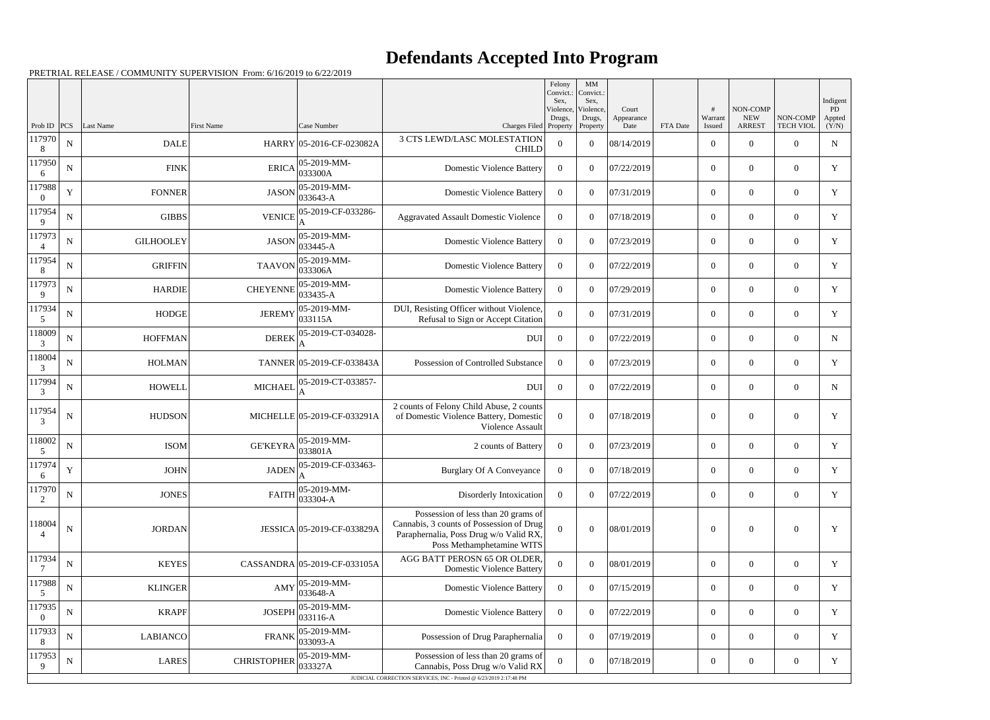## **Defendants Accepted Into Program**

|                          |             |                  |                    |                                      |                                                                                                                                                        | Felony<br>Convict.:<br>Sex. | MM<br>Convict.:<br>Sex, |                     |          |                  |                        |                  | Indigent     |
|--------------------------|-------------|------------------|--------------------|--------------------------------------|--------------------------------------------------------------------------------------------------------------------------------------------------------|-----------------------------|-------------------------|---------------------|----------|------------------|------------------------|------------------|--------------|
|                          |             |                  |                    |                                      |                                                                                                                                                        | Violence,<br>Drugs,         | Violence,<br>Drugs,     | Court<br>Appearance |          | Warrant          | NON-COMP<br><b>NEW</b> | NON-COMP         | PD<br>Appted |
| Prob ID<br>117970        | PCS         | <b>Last Name</b> | First Name         | Case Number                          | Charges Filed Property<br><b>3 CTS LEWD/LASC MOLESTATION</b>                                                                                           |                             | Property                | Date                | FTA Date | Issued           | <b>ARREST</b>          | <b>TECH VIOL</b> | (Y/N)        |
| 8                        | ${\bf N}$   | <b>DALE</b>      |                    | HARRY 05-2016-CF-023082A             | <b>CHILD</b>                                                                                                                                           | $\Omega$                    | $\theta$                | 08/14/2019          |          | $\overline{0}$   | $\theta$               | $\theta$         | ${\bf N}$    |
| 117950<br>6              | $\mathbf N$ | <b>FINK</b>      |                    | $ 05-2019-MM-$<br>$ERICA$ 033300A    | <b>Domestic Violence Battery</b>                                                                                                                       | $\overline{0}$              | $\theta$                | 07/22/2019          |          | $\overline{0}$   | $\overline{0}$         | $\overline{0}$   | Y            |
| 117988<br>$\theta$       | Y           | <b>FONNER</b>    | <b>JASON</b>       | $ 05-2019-MM-$<br>$ 033643 - A$      | <b>Domestic Violence Battery</b>                                                                                                                       | $\overline{0}$              | $\theta$                | 07/31/2019          |          | $\overline{0}$   | $\theta$               | $\overline{0}$   | Y            |
| 117954<br>9              | ${\bf N}$   | <b>GIBBS</b>     | <b>VENICE</b>      | 05-2019-CF-033286-                   | <b>Aggravated Assault Domestic Violence</b>                                                                                                            | $\Omega$                    | $\Omega$                | 07/18/2019          |          | $\overline{0}$   | $\overline{0}$         | $\overline{0}$   | Y            |
| 117973<br>Δ              | ${\bf N}$   | <b>GILHOOLEY</b> | <b>JASON</b>       | $ 05-2019-MM -$<br>$ 033445 - A$     | <b>Domestic Violence Battery</b>                                                                                                                       | $\overline{0}$              | $\theta$                | 07/23/2019          |          | $\overline{0}$   | $\theta$               | $\overline{0}$   | Y            |
| 117954<br>8              | ${\bf N}$   | <b>GRIFFIN</b>   | <b>TAAVON</b>      | $ 05-2019-MM -$<br>033306A           | <b>Domestic Violence Battery</b>                                                                                                                       | $\overline{0}$              | $\theta$                | 07/22/2019          |          | $\overline{0}$   | $\overline{0}$         | $\overline{0}$   | Y            |
| 117973<br>9              | $\mathbf N$ | <b>HARDIE</b>    | <b>CHEYENNE</b>    | $ 05-2019-MM-$<br>$ 033435 - A$      | <b>Domestic Violence Battery</b>                                                                                                                       | $\overline{0}$              | $\theta$                | 07/29/2019          |          | $\overline{0}$   | $\theta$               | $\overline{0}$   | Y            |
| 117934<br>5              | N           | <b>HODGE</b>     | <b>JEREMY</b>      | $ 05-2019-MM-$<br>033115A            | DUI, Resisting Officer without Violence,<br>Refusal to Sign or Accept Citation                                                                         | $\Omega$                    | $\theta$                | 07/31/2019          |          | $\overline{0}$   | $\overline{0}$         | $\overline{0}$   | $\mathbf Y$  |
| 118009<br>3              | ${\bf N}$   | <b>HOFFMAN</b>   | <b>DEREK</b>       | 05-2019-CT-034028-<br>A              | <b>DUI</b>                                                                                                                                             | $\overline{0}$              | $\theta$                | 07/22/2019          |          | $\overline{0}$   | $\theta$               | $\overline{0}$   | ${\bf N}$    |
| 118004<br>3              | ${\bf N}$   | <b>HOLMAN</b>    |                    | TANNER 05-2019-CF-033843A            | Possession of Controlled Substance                                                                                                                     | $\Omega$                    | $\theta$                | 07/23/2019          |          | $\overline{0}$   | $\overline{0}$         | $\overline{0}$   | Y            |
| 117994<br>3              | ${\bf N}$   | <b>HOWELL</b>    | <b>MICHAEL</b>     | 05-2019-CT-033857-                   | <b>DUI</b>                                                                                                                                             | $\overline{0}$              | $\Omega$                | 07/22/2019          |          | $\overline{0}$   | $\theta$               | $\overline{0}$   | N            |
| 117954<br>3              | N           | <b>HUDSON</b>    |                    | MICHELLE 05-2019-CF-033291A          | 2 counts of Felony Child Abuse, 2 counts<br>of Domestic Violence Battery, Domestic<br>Violence Assault                                                 | $\Omega$                    | $\Omega$                | 07/18/2019          |          | $\theta$         | $\theta$               | $\overline{0}$   | Y            |
| 118002<br>5              | ${\bf N}$   | <b>ISOM</b>      | GE'KEYRA           | 05-2019-MM-<br>033801A               | 2 counts of Battery                                                                                                                                    | $\Omega$                    | $\theta$                | 07/23/2019          |          | $\overline{0}$   | $\overline{0}$         | $\overline{0}$   | Y            |
| 117974<br>6              | $\mathbf Y$ | <b>JOHN</b>      | <b>JADEN</b>       | 05-2019-CF-033463-<br>A              | <b>Burglary Of A Conveyance</b>                                                                                                                        | $\overline{0}$              | $\overline{0}$          | 07/18/2019          |          | $\overline{0}$   | $\mathbf{0}$           | $\overline{0}$   | Y            |
| 117970<br>2              | $\mathbf N$ | <b>JONES</b>     | <b>FAITH</b>       | $ 05-2019-MM-$<br>$ 033304 - A$      | Disorderly Intoxication                                                                                                                                | $\overline{0}$              | $\overline{0}$          | 07/22/2019          |          | $\overline{0}$   | $\overline{0}$         | $\overline{0}$   | $\mathbf Y$  |
| 118004                   | $\mathbf N$ | <b>JORDAN</b>    |                    | JESSICA 05-2019-CF-033829A           | Possession of less than 20 grams of<br>Cannabis, 3 counts of Possession of Drug<br>Paraphernalia, Poss Drug w/o Valid RX,<br>Poss Methamphetamine WITS | $\theta$                    | $\Omega$                | 08/01/2019          |          | $\overline{0}$   | $\boldsymbol{0}$       | $\boldsymbol{0}$ | Y            |
| 117934                   | ${\bf N}$   | <b>KEYES</b>     |                    | CASSANDRA 05-2019-CF-033105A         | AGG BATT PEROSN 65 OR OLDER,<br><b>Domestic Violence Battery</b>                                                                                       | $\theta$                    | $\boldsymbol{0}$        | 08/01/2019          |          | $\mathbf{0}$     | $\overline{0}$         | $\overline{0}$   | Y            |
| 117988<br>5              | $\mathbf N$ | <b>KLINGER</b>   | AMY                | $ 05-2019-MM-$<br>033648-A           | <b>Domestic Violence Battery</b>                                                                                                                       | $\overline{0}$              | $\overline{0}$          | 07/15/2019          |          | $\overline{0}$   | $\mathbf{0}$           | $\overline{0}$   | Y            |
| 117935<br>$\overline{0}$ | ${\bf N}$   | <b>KRAPF</b>     | <b>JOSEPH</b>      | 05-2019-MM-<br>$ 033116-A $          | <b>Domestic Violence Battery</b>                                                                                                                       | $\overline{0}$              | $\theta$                | 07/22/2019          |          | $\overline{0}$   | $\overline{0}$         | $\overline{0}$   | $\mathbf Y$  |
| 117933<br>8              | $\mathbf N$ | <b>LABIANCO</b>  |                    | $ 05-2019-MM-$<br>$FRANK$ $033093-A$ | Possession of Drug Paraphernalia                                                                                                                       | $\overline{0}$              | $\boldsymbol{0}$        | 07/19/2019          |          | $\overline{0}$   | $\overline{0}$         | $\boldsymbol{0}$ | Y            |
| 117953<br>9              | ${\bf N}$   | <b>LARES</b>     | <b>CHRISTOPHER</b> | 05-2019-MM-<br>033327A               | Possession of less than 20 grams of<br>Cannabis, Poss Drug w/o Valid RX                                                                                | $\overline{0}$              | $\overline{0}$          | 07/18/2019          |          | $\boldsymbol{0}$ | $\boldsymbol{0}$       | $\boldsymbol{0}$ | $\mathbf Y$  |
|                          |             |                  |                    |                                      | JUDICIAL CORRECTION SERVICES, INC - Printed @ 6/23/2019 2:17:48 PM                                                                                     |                             |                         |                     |          |                  |                        |                  |              |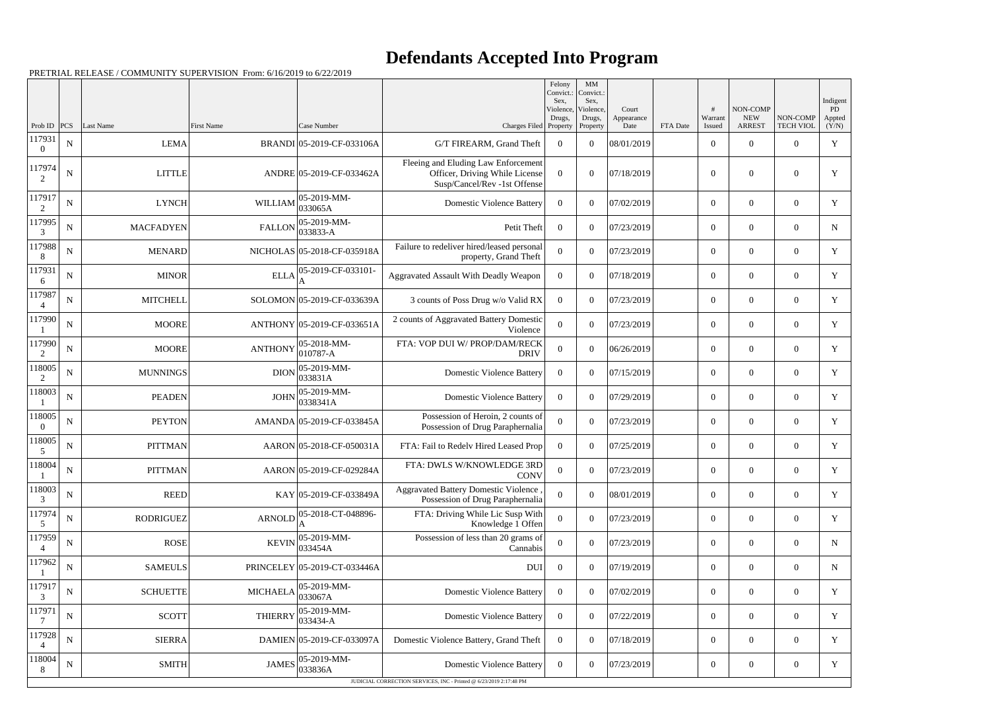## **Defendants Accepted Into Program**

|                          |                  |                          |                 |                                          |                                                                                 | Felony<br>Convict.:<br>Sex, | MM<br>Convict.:<br>Sex, |                     |          |                            |                           |                              | Indigent     |
|--------------------------|------------------|--------------------------|-----------------|------------------------------------------|---------------------------------------------------------------------------------|-----------------------------|-------------------------|---------------------|----------|----------------------------|---------------------------|------------------------------|--------------|
|                          |                  |                          |                 |                                          |                                                                                 | Violence,<br>Drugs,         | Violence,<br>Drugs,     | Court<br>Appearance |          | Warrant                    | NON-COMP<br><b>NEW</b>    | NON-COMP                     | PD<br>Appted |
| Prob ID<br>117931        | PCS<br>${\bf N}$ | Last Name<br><b>LEMA</b> | First Name      | Case Number<br>BRANDI 05-2019-CF-033106A | Charges Filed Property<br>G/T FIREARM, Grand Theft                              | $\Omega$                    | Property<br>$\Omega$    | Date<br>08/01/2019  | FTA Date | Issued<br>$\boldsymbol{0}$ | <b>ARREST</b><br>$\theta$ | <b>TECH VIOL</b><br>$\Omega$ | (Y/N)<br>Y   |
| $\overline{0}$           |                  |                          |                 |                                          | Fleeing and Eluding Law Enforcement                                             |                             |                         |                     |          |                            |                           |                              |              |
| 117974<br>2              | $\mathbf N$      | <b>LITTLE</b>            |                 | ANDRE 05-2019-CF-033462A                 | Officer, Driving While License<br>Susp/Cancel/Rev -1st Offense                  | $\Omega$                    | $\Omega$                | 07/18/2019          |          | $\overline{0}$             | $\overline{0}$            | $\overline{0}$               | Y            |
| 117917<br>2              | ${\bf N}$        | <b>LYNCH</b>             | <b>WILLIAM</b>  | 05-2019-MM-<br>033065A                   | <b>Domestic Violence Battery</b>                                                | $\overline{0}$              | $\theta$                | 07/02/2019          |          | $\overline{0}$             | $\Omega$                  | $\overline{0}$               | Y            |
| 117995<br>3              | N                | <b>MACFADYEN</b>         | <b>FALLON</b>   | 05-2019-MM-<br>033833-A                  | Petit Theft                                                                     | $\Omega$                    | $\Omega$                | 07/23/2019          |          | $\overline{0}$             | $\overline{0}$            | $\overline{0}$               | N            |
| 117988<br>8              | ${\bf N}$        | <b>MENARD</b>            |                 | NICHOLAS 05-2018-CF-035918A              | Failure to redeliver hired/leased personal<br>property, Grand Theft             | $\Omega$                    | $\theta$                | 07/23/2019          |          | $\overline{0}$             | $\overline{0}$            | $\overline{0}$               | Y            |
| 117931<br>6              | N                | <b>MINOR</b>             | <b>ELLA</b>     | 05-2019-CF-033101-                       | Aggravated Assault With Deadly Weapon                                           | $\Omega$                    | $\Omega$                | 07/18/2019          |          | $\overline{0}$             | $\overline{0}$            | $\overline{0}$               | Y            |
| 117987<br>$\overline{4}$ | ${\bf N}$        | <b>MITCHELL</b>          |                 | SOLOMON 05-2019-CF-033639A               | 3 counts of Poss Drug w/o Valid RX                                              | $\overline{0}$              | $\theta$                | 07/23/2019          |          | $\overline{0}$             | $\Omega$                  | $\overline{0}$               | Y            |
| 117990                   | $\mathbf N$      | <b>MOORE</b>             |                 | ANTHONY 05-2019-CF-033651A               | 2 counts of Aggravated Battery Domestic<br>Violence                             | $\Omega$                    | $\boldsymbol{0}$        | 07/23/2019          |          | $\overline{0}$             | $\overline{0}$            | $\overline{0}$               | Y            |
| 117990<br>2              | ${\bf N}$        | <b>MOORE</b>             | <b>ANTHONY</b>  | 05-2018-MM-<br>010787-A                  | FTA: VOP DUI W/ PROP/DAM/RECK<br><b>DRIV</b>                                    | $\Omega$                    | $\Omega$                | 06/26/2019          |          | $\boldsymbol{0}$           | $\overline{0}$            | $\overline{0}$               | Y            |
| 118005<br>2              | N                | <b>MUNNINGS</b>          | <b>DION</b>     | 05-2019-MM-<br>033831A                   | <b>Domestic Violence Battery</b>                                                | $\Omega$                    | $\Omega$                | 07/15/2019          |          | $\overline{0}$             | $\overline{0}$            | $\overline{0}$               | Y            |
| 118003                   | ${\bf N}$        | <b>PEADEN</b>            | <b>JOHN</b>     | 05-2019-MM-<br>0338341A                  | <b>Domestic Violence Battery</b>                                                | $\overline{0}$              | $\theta$                | 07/29/2019          |          | $\overline{0}$             | $\Omega$                  | $\overline{0}$               | Y            |
| 118005<br>$\Omega$       | N                | <b>PEYTON</b>            |                 | AMANDA 05-2019-CF-033845A                | Possession of Heroin, 2 counts of<br>Possession of Drug Paraphernalia           | $\theta$                    | $\overline{0}$          | 07/23/2019          |          | $\overline{0}$             | $\overline{0}$            | $\overline{0}$               | Y            |
| 118005<br>5              | ${\bf N}$        | <b>PITTMAN</b>           |                 | AARON 05-2018-CF-050031A                 | FTA: Fail to Redelv Hired Leased Prop                                           | $\Omega$                    | $\Omega$                | 07/25/2019          |          | $\boldsymbol{0}$           | $\overline{0}$            | $\overline{0}$               | Y            |
| 118004                   | $\mathbf N$      | <b>PITTMAN</b>           |                 | AARON 05-2019-CF-029284A                 | FTA: DWLS W/KNOWLEDGE 3RD<br><b>CONV</b>                                        | $\overline{0}$              | $\overline{0}$          | 07/23/2019          |          | $\overline{0}$             | $\Omega$                  | $\overline{0}$               | Y            |
| 118003<br>3              | $\mathbf N$      | <b>REED</b>              |                 | KAY 05-2019-CF-033849A                   | <b>Aggravated Battery Domestic Violence</b><br>Possession of Drug Paraphernalia | $\theta$                    | $\boldsymbol{0}$        | 08/01/2019          |          | $\boldsymbol{0}$           | $\boldsymbol{0}$          | $\overline{0}$               | Y            |
| 117974<br>5              | $\mathbf N$      | <b>RODRIGUEZ</b>         | <b>ARNOLD</b>   | 05-2018-CT-048896-                       | FTA: Driving While Lic Susp With<br>Knowledge 1 Offen                           | $\overline{0}$              | $\boldsymbol{0}$        | 07/23/2019          |          | $\boldsymbol{0}$           | $\boldsymbol{0}$          | $\overline{0}$               | Y            |
| 117959<br>$\overline{4}$ | ${\bf N}$        | <b>ROSE</b>              | <b>KEVIN</b>    | 05-2019-MM-<br>033454A                   | Possession of less than 20 grams of<br>Cannabis                                 | $\overline{0}$              | $\boldsymbol{0}$        | 07/23/2019          |          | $\boldsymbol{0}$           | $\boldsymbol{0}$          | $\overline{0}$               | $N_{\rm}$    |
| 117962                   | $\mathbf N$      | <b>SAMEULS</b>           |                 | PRINCELEY 05-2019-CT-033446A             | DUI                                                                             | $\overline{0}$              | $\overline{0}$          | 07/19/2019          |          | $\boldsymbol{0}$           | $\boldsymbol{0}$          | $\overline{0}$               | $N_{\rm}$    |
| 117917<br>3              | ${\bf N}$        | <b>SCHUETTE</b>          | <b>MICHAELA</b> | 05-2019-MM-<br>033067A                   | <b>Domestic Violence Battery</b>                                                | $\overline{0}$              | $\theta$                | 07/02/2019          |          | $\boldsymbol{0}$           | $\boldsymbol{0}$          | $\overline{0}$               | Y            |
| 117971                   | $\mathbf N$      | <b>SCOTT</b>             | <b>THIERRY</b>  | 05-2019-MM-<br>033434-A                  | <b>Domestic Violence Battery</b>                                                | $\overline{0}$              | $\overline{0}$          | 07/22/2019          |          | $\boldsymbol{0}$           | $\boldsymbol{0}$          | $\overline{0}$               | Y            |
| 117928<br>$\overline{4}$ | ${\bf N}$        | <b>SIERRA</b>            |                 | DAMIEN 05-2019-CF-033097A                | Domestic Violence Battery, Grand Theft                                          | $\overline{0}$              | $\boldsymbol{0}$        | 07/18/2019          |          | $\boldsymbol{0}$           | $\boldsymbol{0}$          | $\overline{0}$               | Y            |
| 118004<br>8              | $\mathbf N$      | <b>SMITH</b>             | <b>JAMES</b>    | 05-2019-MM-<br>033836A                   | <b>Domestic Violence Battery</b>                                                | $\overline{0}$              | $\boldsymbol{0}$        | 07/23/2019          |          | $\boldsymbol{0}$           | $\boldsymbol{0}$          | $\overline{0}$               | Y            |
|                          |                  |                          |                 |                                          | JUDICIAL CORRECTION SERVICES, INC - Printed @ 6/23/2019 2:17:48 PM              |                             |                         |                     |          |                            |                           |                              |              |